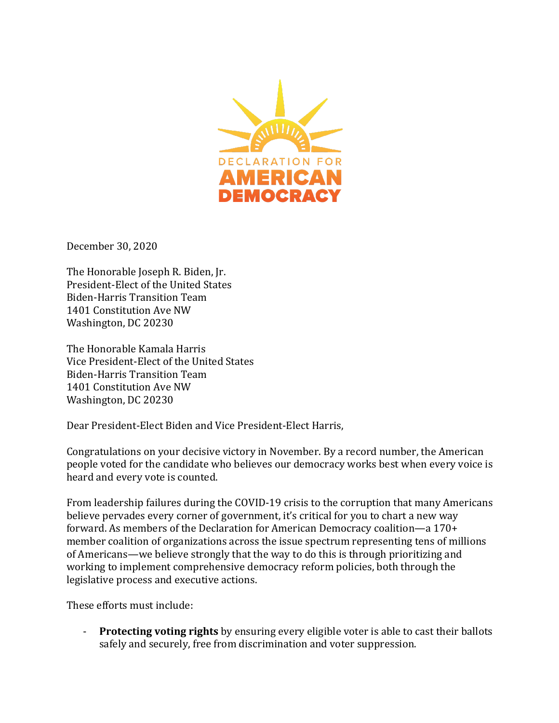

December 30, 2020

The Honorable Joseph R. Biden, Jr. President-Elect of the United States Biden-Harris Transition Team 1401 Constitution Ave NW Washington, DC 20230

The Honorable Kamala Harris Vice President-Elect of the United States Biden-Harris Transition Team 1401 Constitution Ave NW Washington, DC 20230

Dear President-Elect Biden and Vice President-Elect Harris,

Congratulations on your decisive victory in November. By a record number, the American people voted for the candidate who believes our democracy works best when every voice is heard and every vote is counted.

From leadership failures during the COVID-19 crisis to the corruption that many Americans believe pervades every corner of government, it's critical for you to chart a new way forward. As members of the Declaration for American Democracy coalition—a  $170+$ member coalition of organizations across the issue spectrum representing tens of millions of Americans—we believe strongly that the way to do this is through prioritizing and working to implement comprehensive democracy reform policies, both through the legislative process and executive actions.

These efforts must include:

**Protecting voting rights** by ensuring every eligible voter is able to cast their ballots safely and securely, free from discrimination and voter suppression.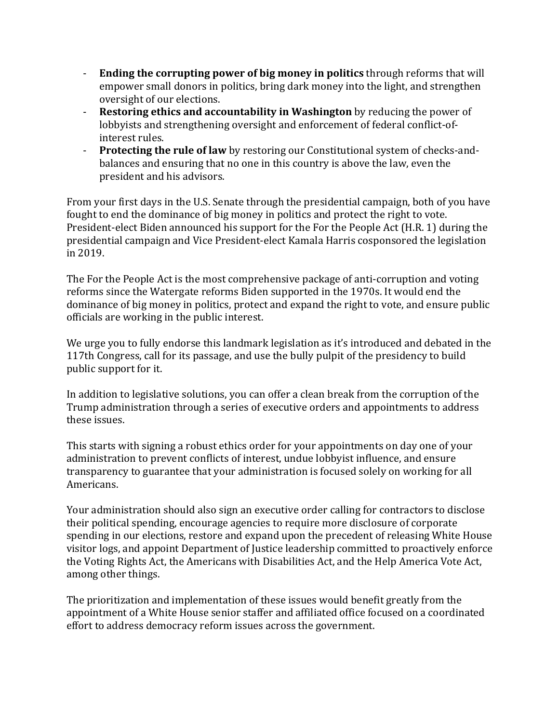- **Ending the corrupting power of big money in politics** through reforms that will empower small donors in politics, bring dark money into the light, and strengthen oversight of our elections.
- **Restoring ethics and accountability in Washington** by reducing the power of lobbyists and strengthening oversight and enforcement of federal conflict-ofinterest rules.
- **Protecting the rule of law** by restoring our Constitutional system of checks-andbalances and ensuring that no one in this country is above the law, even the president and his advisors.

From your first days in the U.S. Senate through the presidential campaign, both of you have fought to end the dominance of big money in politics and protect the right to vote. President-elect Biden announced his support for the For the People Act (H.R. 1) during the presidential campaign and Vice President-elect Kamala Harris cosponsored the legislation in 2019.

The For the People Act is the most comprehensive package of anti-corruption and voting reforms since the Watergate reforms Biden supported in the 1970s. It would end the dominance of big money in politics, protect and expand the right to vote, and ensure public officials are working in the public interest.

We urge you to fully endorse this landmark legislation as it's introduced and debated in the 117th Congress, call for its passage, and use the bully pulpit of the presidency to build public support for it.

In addition to legislative solutions, you can offer a clean break from the corruption of the Trump administration through a series of executive orders and appointments to address these issues. 

This starts with signing a robust ethics order for your appointments on day one of your administration to prevent conflicts of interest, undue lobbyist influence, and ensure transparency to guarantee that your administration is focused solely on working for all Americans. 

Your administration should also sign an executive order calling for contractors to disclose their political spending, encourage agencies to require more disclosure of corporate spending in our elections, restore and expand upon the precedent of releasing White House visitor logs, and appoint Department of Justice leadership committed to proactively enforce the Voting Rights Act, the Americans with Disabilities Act, and the Help America Vote Act, among other things.

The prioritization and implementation of these issues would benefit greatly from the appointment of a White House senior staffer and affiliated office focused on a coordinated effort to address democracy reform issues across the government.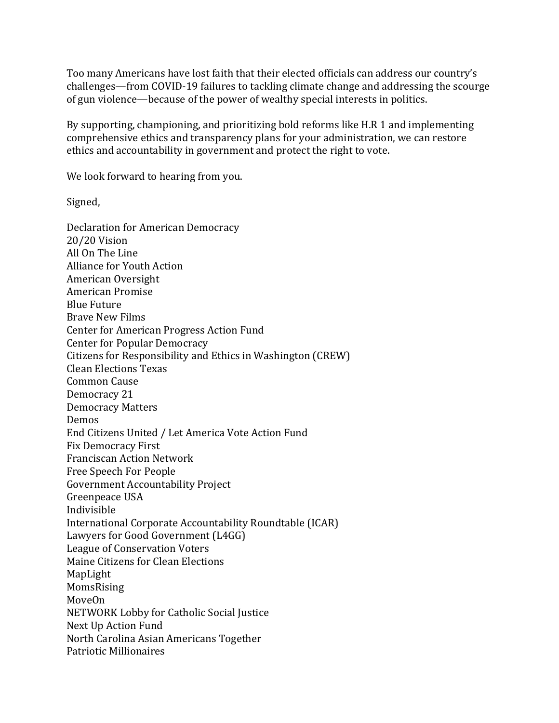Too many Americans have lost faith that their elected officials can address our country's challenges—from COVID-19 failures to tackling climate change and addressing the scourge of gun violence—because of the power of wealthy special interests in politics.

By supporting, championing, and prioritizing bold reforms like H.R 1 and implementing comprehensive ethics and transparency plans for your administration, we can restore ethics and accountability in government and protect the right to vote.

We look forward to hearing from you.

Signed,

Declaration for American Democracy 20/20 Vision All On The Line Alliance for Youth Action American Oversight American Promise Blue Future Brave New Films Center for American Progress Action Fund Center for Popular Democracy Citizens for Responsibility and Ethics in Washington (CREW) Clean Elections Texas Common Cause Democracy 21 Democracy Matters Demos End Citizens United / Let America Vote Action Fund Fix Democracy First Franciscan Action Network Free Speech For People Government Accountability Project Greenpeace USA Indivisible International Corporate Accountability Roundtable (ICAR) Lawyers for Good Government (L4GG) League of Conservation Voters Maine Citizens for Clean Elections MapLight MomsRising MoveOn NETWORK Lobby for Catholic Social Justice Next Up Action Fund North Carolina Asian Americans Together Patriotic Millionaires